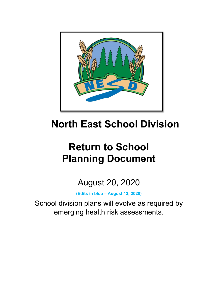

# **North East School Division**

# **Return to School Planning Document**

August 20, 2020

**(Edits in blue – August 13, 2020)**

School division plans will evolve as required by emerging health risk assessments.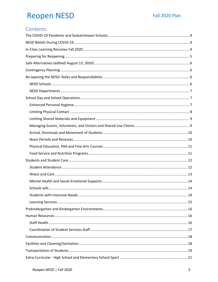## **Reopen NESD**

### Contents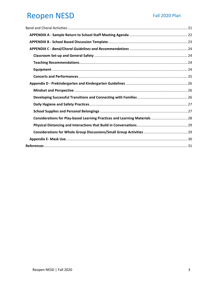| Considerations for Play-based Learning Practices and Learning Materials  28 |  |
|-----------------------------------------------------------------------------|--|
|                                                                             |  |
|                                                                             |  |
|                                                                             |  |
|                                                                             |  |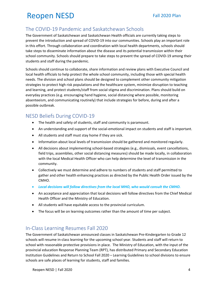## <span id="page-3-0"></span>The COVID-19 Pandemic and Saskatchewan Schools

The Government of Saskatchewan and Saskatchewan Health officials are currently taking steps to prevent the introduction and spread of COVID-19 into our communities. Schools play an important role in this effort. Through collaboration and coordination with local health departments, schools should take steps to disseminate information about the disease and its potential transmission within their school community. Schools should prepare to take steps to prevent the spread of COVID-19 among their students and staff during the pandemic.

Schools should continue to collaborate, share information and review plans with Executive Council and local health officials to help protect the whole school community, including those with special health needs. The division and school plans should be designed to complement other community mitigation strategies to protect high risk populations and the healthcare system, minimize disruption to teaching and learning, and protect students/staff from social stigma and discrimination. Plans should build on everyday practices (e.g. encouraging hand hygiene, social distancing where possible, monitoring absenteeism, and communicating routinely) that include strategies for before, during and after a possible outbreak.

### <span id="page-3-1"></span>NESD Beliefs During COVID-19

- The health and safety of students, staff and community is paramount.
- An understanding and support of the social-emotional impact on students and staff is important.
- All students and staff must stay home if they are sick.
- Information about local levels of transmission should be gathered and monitored regularly.
- All decisions about implementing school-based strategies (e.g., dismissals, event cancellations, field trips, assemblies, other social distancing measures) should be made locally, in collaboration with the local Medical Health Officer who can help determine the level of transmission in the community.
- Collectively we must determine and adhere to numbers of students and staff permitted to gather and other health enhancing practices as directed by the Public Health Order issued by the CMHO.
- *Local decisions will follow directives from the local MHO, who would consult the CMHO.*
- An acceptance and appreciation that local decisions will follow directives from the Chief Medical Health Officer and the Ministry of Education.
- All students will have equitable access to the provincial curriculum.
- The focus will be on learning outcomes rather than the amount of time per subject.

### <span id="page-3-2"></span>In-Class Learning Resumes Fall 2020

The Government of Saskatchewan announced classes in Saskatchewan Pre-Kindergarten to Grade 12 schools will resume in-class learning for the upcoming school year. Students and staff will return to school with reasonable protective provisions in place. The Ministry of Education, with the input of the provincial education Response Planning Team (RPT), has distributed Primary and Secondary Education Institution Guidelines and Return to School Fall 2020 – Learning Guidelines to school divisions to ensure schools are safe places of learning for students, staff and families.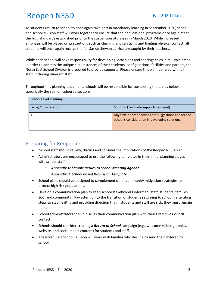As students return to school to once again take part in mandatory learning in September 2020, school and school division staff will work together to ensure that their educational programs once again meet the high standards established prior to the suspension of classes in March 2020. While increased emphasis will be placed on precautions such as cleaning and sanitizing and limiting physical contact, all students will once again receive the full Saskatchewan curriculum taught by their teachers.

While each school will have responsibility for developing local plans and contingencies in multiple areas in order to address the unique circumstances of their students, configurations, facilities and parents, the North East School Division is prepared to provide supports. Please ensure this plan is shared with all staff, including itinerant staff.

Throughout this planning document, schools will be responsible for completing the tables below, specifically the salmon coloured sections.

| <b>School Level Planning</b> |                                                                                                           |
|------------------------------|-----------------------------------------------------------------------------------------------------------|
| <b>Issue/Consideration</b>   | Solution (*indicate supports required)                                                                    |
|                              | Any text in these sections are suggestions and for the<br>school's consideration in developing solutions. |

### <span id="page-4-0"></span>Preparing for Reopening

- School staff should review, discuss and consider the implications of the Reopen NESD plan.
- Administrators are encouraged to use the following templates in their initial planning stages with school staff:
	- o *Appendix A: Sample Return to School Meeting Agenda*
	- o *Appendix B: School Based Discussion Template*
- School plans should be designed to complement other community mitigation strategies to protect high risk populations.
- Develop a communication plan to keep school stakeholders informed (staff, students, families, SCC, and community). Pay attention to the transition of students returning to school, reiterating steps to stay healthy and providing direction that if students and staff are sick, they must remain home.
- School administrators should discuss their communication plan with their Executive Council contact.
- Schools should consider creating a *Return to School* campaign (e.g., welcome video, graphics, website, and social media content) for students and staff.
- The North East School Division will work with families who decline to send their children to school.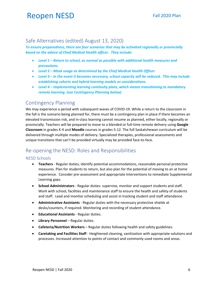### <span id="page-5-0"></span>Safe Alternatives (edited) August 13, 2020)

*To ensure preparedness, there are four scenarios that may be activated regionally or provincially based on the advice of Chief Medical Health officer. They include:*

- *Level 1 – Return to school, as normal as possible with additional health measures and precautions.*
- *Level 2 – Mask usage as determined by the Chief Medical Health Officer.*
- *Level 3 – In the event it becomes necessary, school capacity will be reduced. This may include establishing cohorts and hybrid learning models as considerations.*
- *Level 4 – Implementing learning continuity plans, which means transitioning to mandatory remote learning. (see Contingency Planning below)*

### <span id="page-5-1"></span>Contingency Planning

We may experience a period with subsequent waves of COVID-19. While a return to the classroom in the fall is the scenario being planned for, there must be a contingency plan in place if there becomes an elevated transmission risk, and in-class learning cannot resume as planned, either locally, regionally or provincially. Teachers will be prepared to move to a blended or full-time remote delivery using **Google Classroom** in grades K-4 and **Moodle** courses in grades 5-12. The full Saskatchewan curriculum will be delivered through multiple modes of delivery. Specialized therapies, professional assessments and unique transitions that can't be provided virtually may be provided face-to-face.

## <span id="page-5-2"></span>Re-opening the NESD: Roles and Responsibilities

### <span id="page-5-3"></span>NESD Schools

- **Teachers**  Regular duties; identify potential accommodations, reasonable personal protective measures. Plan for students to return, but also plan for the potential of moving to an at home experience. Consider pre-assessment and appropriate interventions to remediate Supplemental Learning gaps.
- **School Administrators** Regular duties: supervise, monitor and support students and staff. Work with school, facilities and maintenance staff to ensure the health and safety of students and staff. Lead and monitor scheduling and assist in tracking student and staff attendance.
- **Administrative Assistants** Regular duties with the necessary protective shields at desks/counters, if required. Monitoring and recording of student attendance.
- **Educational Assistants**  Regular duties.
- **Library Personnel** Regular duties.
- **Cafeteria/Nutrition Workers** Regular duties following health and safety guidelines.
- **Caretaking and Facilities Staff** Heightened cleaning, sanitization with appropriate solutions and processes. Increased attention to points of contact and commonly used rooms and areas.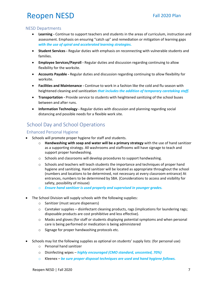#### <span id="page-6-0"></span>NESD Departments

- **Learning -** Continue to support teachers and students in the areas of curriculum, instruction and assessment. Emphasis on ensuring "catch up" and remediation or mitigation of learning gaps *with the use of spiral and accelerated learning strategies.*
- **Student Services -** Regular duties with emphasis on reconnecting with vulnerable students and families.
- **Employee Services/Payroll -** Regular duties and discussion regarding continuing to allow flexibility for the worksite.
- **Accounts Payable -** Regular duties and discussion regarding continuing to allow flexibility for worksite.
- **Facilities and Maintenance -** Continue to work in a fashion like the cold and flu season with heightened cleaning and sanitization *that includes the addition of temporary caretaking staff.*
- **Transportation -** Provide service to students with heightened sanitizing of the school buses between and after runs.
- **Information Technology -** Regular duties with discussion and planning regarding social distancing and possible needs for a flexible work site.

## <span id="page-6-1"></span>School Day and School Operations

### <span id="page-6-2"></span>Enhanced Personal Hygiene

- Schools will promote proper hygiene for staff and students.
	- o **Handwashing with soap and water will be a primary strategy** with the use of hand sanitizer as a supporting strategy. All washrooms and staffrooms will have signage to teach and support proper handwashing.
	- o Schools and classrooms will develop procedures to support handwashing.
	- $\circ$  Schools and teachers will teach students the importance and techniques of proper hand hygiene and sanitizing. Hand sanitizer will be located as appropriate throughout the school (numbers and locations to be determined, not necessary at every classroom entrance) At entrances, numbers to be determined by SBA. (Considerations to access and visibility for safety, possibility of misuse)
	- o *Ensure hand sanitizer is used properly and supervised in younger grades.*
- The School Division will supply schools with the following supplies:
	- o Sanitizer (must secure dispensers)
	- $\circ$  Caretaker supplies disinfectant cleaning products, rags (implications for laundering rags; disposable products are cost prohibitive and less effective).
	- $\circ$  Masks and gloves (for staff or students displaying potential symptoms and when personal care is being performed or medication is being administered
	- o Signage for proper handwashing protocols etc.
- Schools may list the following supplies as optional on students' supply lists: (for personal use)
	- o Personal hand sanitizer
	- o Disinfecting wipes *highly encouraged (CMO standard, unscented, 70%)*
	- o Kleenex *be sure proper disposal techniques are used and hand hygiene follows.*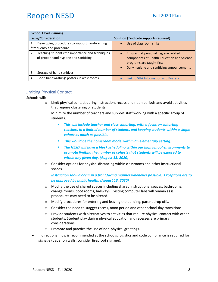|    | <b>School Level Planning</b>                    |                                                         |
|----|-------------------------------------------------|---------------------------------------------------------|
|    | <b>Issue/Consideration</b>                      | Solution (*indicate supports required)                  |
|    | Developing procedures to support handwashing.   | Use of classroom sinks                                  |
|    | *frequency and procedure                        |                                                         |
| 2. | Teaching students the importance and techniques | Ensure that personal hygiene related                    |
|    | of proper hand hygiene and sanitizing           | components of Health Education and Science              |
|    |                                                 | programs are taught first                               |
|    |                                                 | Daily hygiene and sanitizing announcements<br>$\bullet$ |
| 3. | Storage of hand sanitizer                       |                                                         |
| 4. | 'Good handwashing' posters in washrooms         | Link to SHA Information and Posters                     |

### <span id="page-7-0"></span>Limiting Physical Contact

Schools will:

- o Limit physical contact during instruction, recess and noon periods and avoid activities that require clustering of students.
- $\circ$  Minimize the number of teachers and support staff working with a specific group of students.
	- *This will include teacher and class cohorting, with a focus on cohorting teachers to a limited number of students and keeping students within a single cohort as much as possible.*
	- *This would be the homeroom model within an elementary setting.*
	- *The NESD will have a block scheduling within our high school environments to promote limiting the number of cohorts that students will be exposed to within any given day. (August 13, 2020)*
- $\circ$  Consider options for physical distancing within classrooms and other instructional spaces.
- o *Instruction should occur in a front facing manner whenever possible. Exceptions are to be approved by public health. (August 13, 2020)*
- $\circ$  Modify the use of shared spaces including shared instructional spaces, bathrooms, change rooms, boot rooms, hallways. Existing computer labs will remain as is, procedures may need to be altered.
- o Modify procedures for entering and leaving the building, parent drop offs.
- $\circ$  Consider the need to stagger recess, noon period and other school day transitions.
- $\circ$  Provide students with alternatives to activities that require physical contact with other students. Student play during physical education and recesses are primary considerations.
- o Promote and practice the use of non-physical greetings.
- If directional flow is recommended at the schools, logistics and code compliance is required for signage (paper on walls, consider fireproof signage).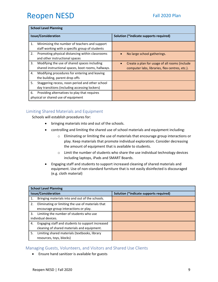|    | <b>School Level Planning</b>                       |                                                            |
|----|----------------------------------------------------|------------------------------------------------------------|
|    | <b>Issue/Consideration</b>                         | Solution (*indicate supports required)                     |
| 1. | Minimizing the number of teachers and support      |                                                            |
|    | staff working with a specific group of students    |                                                            |
| 2. | Promoting physical distancing within classrooms    | No large school gatherings.                                |
|    | and other instructional spaces                     |                                                            |
| 3. | Modifying the use of shared spaces including       | Create a plan for usage of all rooms (include<br>$\bullet$ |
|    | shared instructional spaces, boot rooms, hallways. | computer labs, libraries, flex centres, etc.).             |
| 4. | Modifying procedures for entering and leaving      |                                                            |
|    | the building, parent drop offs                     |                                                            |
| 5. | Staggering recess, noon period and other school    |                                                            |
|    | day transitions (including accessing lockers)      |                                                            |
| 6. | Providing alternatives to play that requires       |                                                            |
|    | physical or shared use of equipment                |                                                            |

### <span id="page-8-0"></span>Limiting Shared Materials and Equipment

Schools will establish procedures for:

- bringing materials into and out of the schools.
- controlling and limiting the shared use of school materials and equipment including:
	- o Eliminating or limiting the use of materials that encourage group interactions or play. Keep materials that promote individual exploration. Consider decreasing the amount of equipment that is available to students.
	- o Limit the number of students who share the use individual technology devices including laptops, iPads and SMART Boards.
- Engaging staff and students to support increased cleaning of shared materials and equipment. Use of non-standard furniture that is not easily disinfected is discouraged (e.g. cloth material)

|    | <b>School Level Planning</b>                      |                                        |
|----|---------------------------------------------------|----------------------------------------|
|    | <b>Issue/Consideration</b>                        | Solution (*indicate supports required) |
| 1. | Bringing materials into and out of the schools.   |                                        |
| 2. | Eliminating or limiting the use of materials that |                                        |
|    | encourage group interactions or play.             |                                        |
| 3. | Limiting the number of students who use           |                                        |
|    | individual devices.                               |                                        |
| 4. | Engaging staff and students to support increased  |                                        |
|    | cleaning of shared materials and equipment.       |                                        |
| 5. | Limiting shared materials (textbooks, library     |                                        |
|    | resources, toys, blocks)                          |                                        |

#### <span id="page-8-1"></span>Managing Guests, Volunteers, and Visitors and Shared Use Clients

• Ensure hand sanitizer is available for guests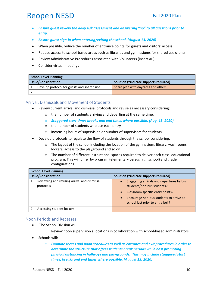- *Ensure guest review the daily risk assessment and answering "no" to all questions prior to entry.*
- *Ensure guest sign-in when entering/exiting the school. (August 13, 2020)*
- When possible, reduce the number of entrance points for guests and visitors' access
- Reduce access to school-based areas such as libraries and gymnasiums for shared use clients
- Review Administrative Procedures associated with Volunteers (insert AP)
- Consider virtual meetings

| <b>School Level Planning</b>                |                                        |
|---------------------------------------------|----------------------------------------|
| <b>Issue/Consideration</b>                  | Solution (*indicate supports required) |
| Develop protocol for guests and shared use. | Share plan with daycares and others.   |
|                                             |                                        |

#### <span id="page-9-0"></span>Arrival, Dismissals and Movement of Students

- Review current arrival and dismissal protocols and revise as necessary considering:
	- o the number of students arriving and departing at the same time.
	- o *Staggered start times breaks and end times where possible. (Aug. 13, 2020)*
	- o the number of students who use each entry
	- o increasing hours of supervision or number of supervisors for students.
- Develop protocols to regulate the flow of students through the school considering:
	- $\circ$  The layout of the school including the location of the gymnasium, library, washrooms, lockers, access to the playground and so on.
	- $\circ$  The number of different instructional spaces required to deliver each class' educational program. This will differ by program (elementary versus high school) and grade configurations.

| <b>School Level Planning</b>                              |                                                                                                                                                                                                                                   |
|-----------------------------------------------------------|-----------------------------------------------------------------------------------------------------------------------------------------------------------------------------------------------------------------------------------|
| <b>Issue/Consideration</b>                                | Solution (*indicate supports required)                                                                                                                                                                                            |
| Reviewing and revising arrival and dismissal<br>protocols | Staggering arrivals and departures by bus<br>$\bullet$<br>students/non-bus students?<br>Classroom specific entry points?<br>$\bullet$<br>Encourage non-bus students to arrive at<br>$\bullet$<br>school just prior to entry bell? |
| Accessing student lockers                                 |                                                                                                                                                                                                                                   |

#### <span id="page-9-1"></span>Noon Periods and Recesses

- The School Division will:
	- $\circ$  Review noon supervision allocations in collaboration with school-based administrators.
- Schools will:
	- o *Examine recess and noon schedules as well as entrance and exit procedures in order to determine the structure that offers students break periods while best promoting physical distancing in hallways and playgrounds. This may include staggered start times, breaks and end times where possible. (August 13, 2020)*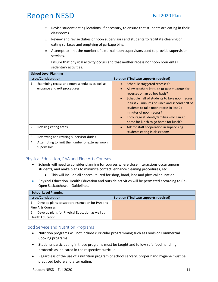- $\circ$  Revise student eating locations, if necessary, to ensure that students are eating in their classrooms.
- $\circ$  Review and revise duties of noon supervisors and students to facilitate cleaning of eating surfaces and emptying of garbage bins.
- $\circ$  Attempt to limit the number of external noon supervisors used to provide supervision services.
- o Ensure that physical activity occurs and that neither recess nor noon hour entail sedentary activities.

| <b>School Level Planning</b>                                                         |                                                                                                                                                                                                                                                                                                                                                                                                                              |
|--------------------------------------------------------------------------------------|------------------------------------------------------------------------------------------------------------------------------------------------------------------------------------------------------------------------------------------------------------------------------------------------------------------------------------------------------------------------------------------------------------------------------|
| <b>Issue/Consideration</b>                                                           | Solution (*indicate supports required)                                                                                                                                                                                                                                                                                                                                                                                       |
| Examining recess and noon schedules as well as<br>1.<br>entrance and exit procedures | Schedule staggered recesses?<br>$\bullet$<br>Allow teachers latitude to take students for<br>$\bullet$<br>recesses on an ad hoc basis?<br>Schedule half of students to take noon recess<br>$\bullet$<br>in first 25 minutes of lunch and second half of<br>students to take noon recess in last 25<br>minutes of noon recess?<br>Encourage students/families who can go<br>$\bullet$<br>home for lunch to go home for lunch? |
| 2.<br>Revising eating areas                                                          | Ask for staff cooperation in supervising<br>$\bullet$<br>students eating in classrooms.                                                                                                                                                                                                                                                                                                                                      |
| 3.<br>Reviewing and revising supervisor duties                                       |                                                                                                                                                                                                                                                                                                                                                                                                                              |
| Attempting to limit the number of external noon<br>4.<br>supervisors.                |                                                                                                                                                                                                                                                                                                                                                                                                                              |

### <span id="page-10-0"></span>Physical Education, PAA and Fine Arts Courses

- Schools will need to consider planning for courses where close interactions occur among students, and make plans to minimize contact, enhance cleaning procedures, etc.
	- This will include all spaces utilized for shop, band, labs and physical education.
- Physical Education, Health Education and outside activities will be permitted according to Re-Open Saskatchewan Guidelines.

| <b>School Level Planning</b>                           |                                        |
|--------------------------------------------------------|----------------------------------------|
| <b>Issue/Consideration</b>                             | Solution (*indicate supports required) |
| Develop plans to support instruction for PAA and<br>1. |                                        |
| <b>Fine Arts Courses</b>                               |                                        |
| Develop plans for Physical Education as well as        |                                        |
| <b>Health Education</b>                                |                                        |

### <span id="page-10-1"></span>Food Service and Nutrition Programs

- Nutrition programs will not include curricular programming such as Foods or Commercial Cooking programs.
- Students participating in those programs must be taught and follow safe food handling protocols as indicated in the respective curricula.
- Regardless of the use of a nutrition program or school servery, proper hand hygiene must be practiced before and after eating.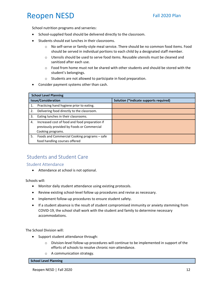School nutrition programs and serveries:

- School-supplied food should be delivered directly to the classroom.
- Students should eat lunches in their classrooms.
	- o No self-serve or family-style meal service. There should be no common food items. Food should be served in individual portions to each child by a designated staff member.
	- $\circ$  Utensils should be used to serve food items. Reusable utensils must be cleaned and sanitized after each use.
	- $\circ$  Food from home must not be shared with other students and should be stored with the student's belongings.
	- o Students are not allowed to participate in food preparation.
- Consider payment systems other than cash.

|    | <b>School Level Planning</b>                                                                                      |                                        |
|----|-------------------------------------------------------------------------------------------------------------------|----------------------------------------|
|    | <b>Issue/Consideration</b>                                                                                        | Solution (*indicate supports required) |
| 1. | Practicing hand hygiene prior to eating.                                                                          |                                        |
| 2. | Delivering food directly to the classroom.                                                                        |                                        |
| 3. | Eating lunches in their classrooms.                                                                               |                                        |
| 4. | Increased cost of food and food preparation if<br>previously provided by Foods or Commercial<br>Cooking programs. |                                        |
| 5. | Foods and Commercial Cooking programs - safe<br>food handling courses offered                                     |                                        |

## <span id="page-11-0"></span>Students and Student Care

<span id="page-11-1"></span>Student Attendance

• Attendance at school is not optional.

Schools will:

- Monitor daily student attendance using existing protocols.
- Review existing school-level follow up procedures and revise as necessary.
- Implement follow-up procedures to ensure student safety.
- If a student absence is the result of student compromised immunity or anxiety stemming from COVID-19, the school shall work with the student and family to determine necessary accommodations.

The School Division will:

- Support student attendance through:
	- o Division-level follow-up procedures will continue to be implemented in support of the efforts of schools to resolve chronic non-attendance.
	- o A communication strategy.

**School Level Planning**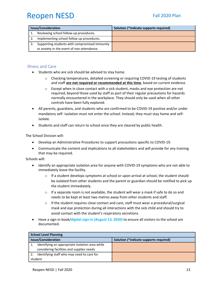| <b>Issue/Consideration</b>                    | Solution (*indicate supports required) |
|-----------------------------------------------|----------------------------------------|
| Reviewing school follow-up procedures.        |                                        |
| Implementing school follow up procedures.     |                                        |
| Supporting students with compromised immunity |                                        |
| or anxiety in the event of non-attendance.    |                                        |

### <span id="page-12-0"></span>Illness and Care

- Students who are sick should be advised to stay home.
	- o Checking temperatures, detailed screening or requiring COVID-19 testing of students and staff **are not required or recommended at this time**, based on current evidence.
	- $\circ$  Except when in close contact with a sick student, masks and eye protection are not required, beyond those used by staff as part of their regular precautions for hazards normally encountered in the workplace. They should only be used when all other controls have been fully explored.
- All parents, guardians, and students who are confirmed to be COVID-19 positive and/or under mandatory self- isolation must not enter the school. Instead, they must stay home and selfisolate.
- Students and staff can return to school once they are cleared by public health.

The School Division will:

- Develop an Administrative Procedures to support precautions specific to COVID-19.
- Communicate the content and implications to all stakeholders and will provide for any training that may be required.

Schools will:

- Identify an appropriate isolation area for anyone with COVID-19 symptoms who are not able to immediately leave the facility.
	- $\circ$  If a student develops symptoms at school or upon arrival at school, the student should be isolated from other students and the parent or guardian should be notified to pick up the student immediately.
	- $\circ$  If a separate room is not available, the student will wear a mask if safe to do so and needs to be kept at least two metres away from other students and staff.
	- $\circ$  If the student requires close contact and care, staff must wear a procedural/surgical mask and eye protection during all interactions with the sick child and should try to avoid contact with the student's respiratory secretions.
- Have a sign-in book/*digital sign-in (August 13, 2020)* to ensure all visitors to the school are documented.

| <b>School Level Planning</b> |                                                 |                                        |
|------------------------------|-------------------------------------------------|----------------------------------------|
| <b>Issue/Consideration</b>   |                                                 | Solution (*indicate supports required) |
|                              | Identifying an appropriate isolation area while |                                        |
|                              | considering facilities and supplies needs       |                                        |
|                              | Identifying staff who may need to care for      |                                        |
| student                      |                                                 |                                        |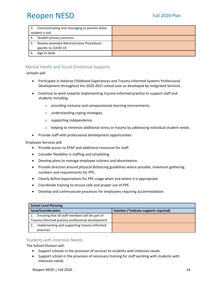| 3.              | Communicating and messaging to parents when |  |
|-----------------|---------------------------------------------|--|
| student is sick |                                             |  |
| 4.              | Student privacy concerns                    |  |
|                 | Review amended Administrative Procedures    |  |
|                 | specific to COVID 19                        |  |
| -6.             | Sign-in book                                |  |

### <span id="page-13-0"></span>Mental Health and Social-Emotional Supports

<span id="page-13-1"></span>Schools will:

- Participate in Adverse Childhood Experiences and Trauma Informed Systems Professional Development throughout the 2020-2021 school year as developed by Integrated Services.
- Continue to work towards implementing trauma-informed practice to support staff and students including:
	- o providing inclusive and compassionate learning environments.
	- o understanding coping strategies.
	- o supporting independence.
	- $\circ$  helping to minimize additional stress or trauma by addressing individual student needs.
- Provide staff with professional development opportunities.

Employee Services will:

- Provide access to EFAP and additional resources for staff.
- Consider flexibility in staffing and scheduling.
- Develop plans to manage employee sickness and absenteeism.
- Provide direction around physical distancing guidelines where possible, maximum gathering numbers and requirements for PPE.
- Clearly define expectations for PPE usage when and where it is appropriate.
- Coordinate training to ensure safe and proper use of PPE.
- Develop and communicate processes for employees requiring accommodation.

| <b>School Level Planning</b>                          |                                        |  |
|-------------------------------------------------------|----------------------------------------|--|
| <b>Issue/Consideration</b>                            | Solution (*indicate supports required) |  |
| Ensuring that all staff members will be part of<br>1. |                                        |  |
| Trauma Informed practice professional development     |                                        |  |
| Implementing and supporting trauma-informed           |                                        |  |
| practices                                             |                                        |  |

#### <span id="page-13-2"></span>Students with Intensive Needs

The School Division will:

- Support schools in the provision of services to students with intensive needs.
- Support school in the provision of necessary training for staff working with students with intensive needs.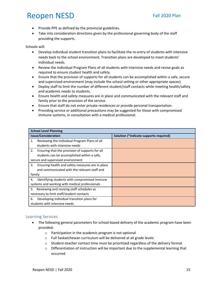- Provide PPE as defined by the provincial guidelines.
- Take into consideration directions given by the professional governing body of the staff providing the supports.

Schools will:

- Develop individual student transition plans to facilitate the re-entry of students with intensive needs back to the school environment. Transition plans are developed to meet students' individual needs.
- Review the Individual Program Plans of all students with intensive needs and revise goals as required to ensure student health and safety.
- Ensure that the provision of supports for all students can be accomplished within a safe, secure and supervised environment (may include the school setting or other appropriate spaces)
- Deploy staff to limit the number of different student/staff contacts while meeting health/safety and academic needs to students.
- Ensure health and safety measures are in place and communicated with the relevant staff and family prior to the provision of the service.
- Ensure that staff do not enter private residences or provide personal transportation.
- Providing service or additional precautions may be suggested for those with compromised immune systems, in consultation with a medical professional.

| <b>School Level Planning</b>                    |                                                  |                                        |
|-------------------------------------------------|--------------------------------------------------|----------------------------------------|
| <b>Issue/Consideration</b>                      |                                                  | Solution (*indicate supports required) |
| 1.                                              | Reviewing the Individual Program Plans of all    |                                        |
|                                                 | students with intensive needs                    |                                        |
| 2.                                              | Ensuring that the provision of supports for all  |                                        |
|                                                 | students can be accomplished within a safe,      |                                        |
| secure and supervised environment               |                                                  |                                        |
| 3.                                              | Ensuring health and safety measures are in place |                                        |
|                                                 | and communicated with the relevant staff and     |                                        |
| family                                          |                                                  |                                        |
| 4.                                              | Identifying students with compromised immune     |                                        |
| systems and working with medical professionals  |                                                  |                                        |
| Reviewing and revising staff schedules as<br>5. |                                                  |                                        |
| necessary to limit staff/student contacts       |                                                  |                                        |
| 6.                                              | Developing individual transition plans for       |                                        |
| students with intensive needs                   |                                                  |                                        |

### <span id="page-14-0"></span>Learning Services

- The following general parameters for school-based delivery of the academic program have been provided:
	- o Participation in the academic program is not optional
	- o Full Saskatchewan curriculum will be delivered at all grade levels
	- $\circ$  Student-teacher contact time must be prioritized regardless of the delivery format
	- $\circ$  Differentiation of instruction will be important due to the supplemental learning that occurred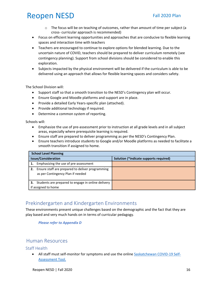- $\circ$  The focus will be on teaching of outcomes, rather than amount of time per subject (a cross- curricular approach is recommended)
- Focus on efficient learning opportunities and approaches that are conducive to flexible learning spaces and interaction time with teachers
- Teachers are encouraged to continue to explore options for blended learning. Due to the uncertain nature of COVID, teachers should be prepared to deliver curriculum remotely (see contingency planning). Support from school divisions should be considered to enable this exploration.
- Subjects impacted by the physical environment will be delivered if the curriculum is able to be delivered using an approach that allows for flexible learning spaces and considers safety.

The School Division will:

- Support staff so that a smooth transition to the NESD's Contingency plan will occur.
- Ensure Google and Moodle platforms and support are in place.
- Provide a detailed Early Years-specific plan (attached).
- Provide additional technology if required.
- Determine a common system of reporting.

Schools will:

- Emphasize the use of pre-assessment prior to instruction at all grade levels and in all subject areas, especially where prerequisite learning is required.
- Ensure staff are prepared to deliver programming as per the NESD's Contingency Plan.
- Ensure teachers introduce students to Google and/or Moodle platforms as needed to facilitate a smooth transition if assigned to home.

| <b>School Level Planning</b>                                                                |                                        |  |
|---------------------------------------------------------------------------------------------|----------------------------------------|--|
| <b>Issue/Consideration</b>                                                                  | Solution (*indicate supports required) |  |
| Emphasizing the use of pre-assessment                                                       |                                        |  |
| Ensure staff are prepared to deliver programming<br>2.<br>as per Contingency Plan if needed |                                        |  |
| Students are prepared to engage in online delivery<br>3.<br>if assigned to home             |                                        |  |

### <span id="page-15-0"></span>Prekindergarten and Kindergarten Environments

These environments present unique challenges based on the demographic and the fact that they are play based and very much hands on in terms of curricular pedagogy.

*Please refer to Appendix D*

### <span id="page-15-1"></span>Human Resources

### <span id="page-15-2"></span>Staff Health

• All staff must self-monitor for symptoms and use the online [Saskatchewan COVID-19 Self-](https://www.saskatchewan.ca/government/health-care-administration-and-provider-resources/treatment-procedures-and-guidelines/emerging-public-health-issues/2019-novel-coronavirus/covid-19-self-assessment)[Assessment Tool.](https://www.saskatchewan.ca/government/health-care-administration-and-provider-resources/treatment-procedures-and-guidelines/emerging-public-health-issues/2019-novel-coronavirus/covid-19-self-assessment)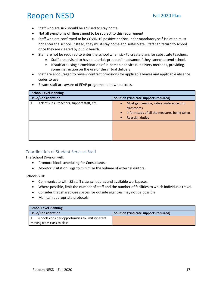- Staff who are sick should be advised to stay home.
- Not all symptoms of illness need to be subject to this requirement
- Staff who are confirmed to be COVID-19 positive and/or under mandatory self-isolation must not enter the school. Instead, they must stay home and self-isolate. Staff can return to school once they are cleared by public health.
- Staff are not be required to enter the school when sick to create plans for substitute teachers.
	- o Staff are advised to have materials prepared in advance if they cannot attend school.
	- o If staff are using a combination of in-person and virtual delivery methods, providing some instruction on the use of the virtual delivery
- Staff are encouraged to review contract provisions for applicable leaves and applicable absence codes to use
- Ensure staff are aware of EFAP program and how to access.

| <b>School Level Planning</b>                 |                                                                                                                                                                 |
|----------------------------------------------|-----------------------------------------------------------------------------------------------------------------------------------------------------------------|
| <b>Issue/Consideration</b>                   | Solution (*indicate supports required)                                                                                                                          |
| Lack of subs - teachers, support staff, etc. | Must get creative, video conference into<br>$\bullet$<br>classrooms<br>Inform subs of all the measures being taken<br>$\bullet$<br>Reassign duties<br>$\bullet$ |
|                                              |                                                                                                                                                                 |

### <span id="page-16-0"></span>Coordination of Student Services Staff

The School Division will:

- Promote block scheduling for Consultants.
- Monitor Visitation Logs to minimize the volume of external visitors.

Schools will:

- Communicate with SS staff class schedules and available workspaces.
- Where possible, limit the number of staff and the number of facilities to which individuals travel.
- Consider that shared-use spaces for outside agencies may not be possible.
- Maintain appropriate protocols.

| <b>School Level Planning</b>                      |                                        |  |
|---------------------------------------------------|----------------------------------------|--|
| <b>Issue/Consideration</b>                        | Solution (*indicate supports required) |  |
| Schools consider opportunities to limit itinerant |                                        |  |
| moving from class to class.                       |                                        |  |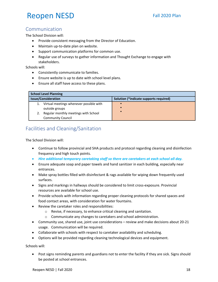### <span id="page-17-0"></span>Communication

The School Division will:

- Provide consistent messaging from the Director of Education.
- Maintain up-to-date plan on website.
- Support communication platforms for common use.
- Regular use of surveys to gather information and Thought Exchange to engage with stakeholders.

Schools will:

- Consistently communicate to families.
- Ensure website is up to date with school level plans.
- Ensure all staff have access to these plans.

| <b>School Level Planning</b>            |                                        |
|-----------------------------------------|----------------------------------------|
| <b>Issue/Consideration</b>              | Solution (*indicate supports required) |
| Virtual meetings whenever possible with |                                        |
| outside groups                          |                                        |
| Regular monthly meetings with School    |                                        |
| <b>Community Council</b>                |                                        |

### <span id="page-17-1"></span>Facilities and Cleaning/Sanitation

The School Division will:

- Continue to follow provincial and SHA products and protocol regarding cleaning and disinfection frequency and high touch points.
- *Hire additional temporary caretaking staff so there are caretakers at each school all day.*
- Ensure adequate soap and paper towels and hand sanitizer in each building, especially near entrances.
- Make spray bottles filled with disinfectant & rags available for wiping down frequently used surfaces.
- Signs and markings in hallways should be considered to limit cross-exposure. Provincial resources are available for school use.
- Provide schools with information regarding proper cleaning protocols for shared spaces and food contact areas, with consideration for water fountains.
- Review the caretaker roles and responsibilities:
	- o Revise, if necessary, to enhance critical cleaning and sanitation.
	- o Communicate any changes to caretakers and school administration.
- Community use, shared use, joint use considerations review and make decisions about 20-21 usage. Communication will be required.
- Collaborate with schools with respect to caretaker availability and scheduling.
- Options will be provided regarding cleaning technological devices and equipment.

Schools will:

• Post signs reminding parents and guardians not to enter the facility if they are sick. Signs should be posted at school entrances.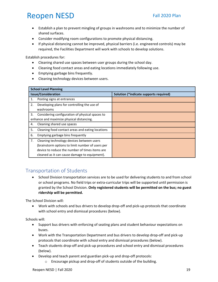- Establish a plan to prevent mingling of groups in washrooms and to minimize the number of shared surfaces.
- Consider modifying room configurations to promote physical distancing.
- If physical distancing cannot be improved, physical barriers (i.e. engineered controls) may be required, the Facilities Department will work with schools to develop solutions.

Establish procedures for:

- Cleaning shared use spaces between user groups during the school day.
- Cleaning food contact areas and eating locations immediately following use.
- Emptying garbage bins frequently.
- Cleaning technology devices between users.

| <b>School Level Planning</b>                           |                                        |  |
|--------------------------------------------------------|----------------------------------------|--|
| <b>Issue/Consideration</b>                             | Solution (*indicate supports required) |  |
| Posting signs at entrances<br>1.                       |                                        |  |
| Developing plans for controlling the use of<br>2.      |                                        |  |
| washrooms                                              |                                        |  |
| Considering configuration of physical spaces to<br>3.  |                                        |  |
| enhance and maximize physical distancing.              |                                        |  |
| Cleaning shared use spaces<br>4.                       |                                        |  |
| Cleaning food contact areas and eating locations<br>5. |                                        |  |
| 6.<br>Emptying garbage bins frequently                 |                                        |  |
| 7.<br>Cleaning technology devices between users        |                                        |  |
| (brainstorm options to limit number of users per       |                                        |  |
| device to reduce the number of times items are         |                                        |  |
| cleaned as it can cause damage to equipment).          |                                        |  |

### <span id="page-18-0"></span>Transportation of Students

• School Division transportation services are to be used for delivering students to and from school or school programs. No field trips or extra-curricular trips will be supported until permission is granted by the School Division. **Only registered students will be permitted on the bus; no guest ridership will be permitted.**

The School Division will:

• Work with schools and bus drivers to develop drop-off and pick-up protocols that coordinate with school entry and dismissal procedures (below).

Schools will:

- Support bus drivers with enforcing of seating plans and student behaviour expectations on buses.
- Work with the Transportation Department and bus drivers to develop drop-off and pick-up protocols that coordinate with school entry and dismissal procedures (below).
- Teach students drop-off and pick-up procedures and school entry and dismissal procedures (below).
- Develop and teach parent and guardian pick-up and drop-off protocols:
	- o Encourage pickup and drop-off of students outside of the building.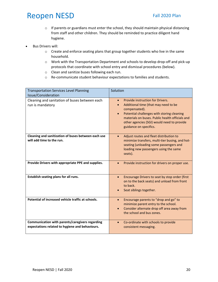- o If parents or guardians must enter the school, they should maintain physical distancing from staff and other children. They should be reminded to practice diligent hand hygiene.
- Bus Drivers will:
	- o Create and enforce seating plans that group together students who live in the same household.
	- o Work with the Transportation Department and schools to develop drop-off and pick-up protocols that coordinate with school entry and dismissal procedures (below).
	- o Clean and sanitize buses following each run.
	- o Re-communicate student behaviour expectations to families and students.

| <b>Transportation Services Level Planning</b><br>Issue/Consideration                               | Solution                                                                                                                                                                                                                                                                                     |
|----------------------------------------------------------------------------------------------------|----------------------------------------------------------------------------------------------------------------------------------------------------------------------------------------------------------------------------------------------------------------------------------------------|
| Cleaning and sanitation of buses between each<br>run is mandatory                                  | Provide instruction for Drivers.<br>$\bullet$<br>Additional time (that may need to be<br>compensated).<br>Potential challenges with storing cleaning<br>$\bullet$<br>materials on buses. Public health officials and<br>other agencies (SGI) would need to provide<br>guidance on specifics. |
| Cleaning and sanitization of buses between each use<br>will add time to the run.                   | Adjust routes and fleet distribution to<br>minimize transfers, multi-tier busing, and hot-<br>seating (unloading some passengers and<br>loading new passengers using the same<br>seats).                                                                                                     |
| Provide Drivers with appropriate PPE and supplies.                                                 | Provide instruction for drivers on proper use.                                                                                                                                                                                                                                               |
| Establish seating plans for all runs.                                                              | Encourage Drivers to seat by stop order (first<br>on to the back seats) and unload from front<br>to back.<br>Seat siblings together.                                                                                                                                                         |
| Potential of increased vehicle traffic at schools.                                                 | Encourage parents to "drop and go" to<br>$\bullet$<br>minimize parent entry to the school.<br>Consider alternate drop off area away from<br>$\bullet$<br>the school and bus zones.                                                                                                           |
| Communication with parents/caregivers regarding<br>expectations related to hygiene and behaviours. | Co-ordinate with schools to provide<br>$\bullet$<br>consistent messaging.                                                                                                                                                                                                                    |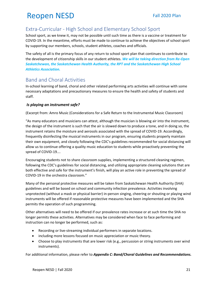## <span id="page-20-0"></span>Extra-Curricular - High School and Elementary School Sport

School sport, as we knew it, may not be possible until such time as there is a vaccine or treatment for COVID-19. In the meantime, efforts must be made to continue to achieve the objectives of school sport by supporting our members, schools, student athletes, coaches and officials.

The safety of all is the primary focus of any return to school sport plan that continues to contribute to the development of citizenship skills in our student athletes. *We will be taking direction from Re-Open Saskatchewan, the Saskatchewan Health Authority, the RPT and the Saskatchewan High School Athletics Association.*

## <span id="page-20-1"></span>Band and Choral Activities

In-school learning of band, choral and other related performing arts activities will continue with some necessary adaptations and precautionary measures to ensure the health and safety of students and staff.

### *Is playing an instrument safe?*

(Excerpt from: Amro Music (Considerations for a Safe Return to the Instrumental Music Classroom)

"As many educators and musicians can attest, although the musician is blowing air into the instrument, the design of the instrument is such that the air is slowed down to produce a tone, and in doing so, the instrument retains the moisture and aerosols associated with the spread of COVID-19. Accordingly, frequently disinfecting the musical instruments in our program, ensuring students properly maintain their own equipment, and closely following the CDC's guidelines recommended for social distancing will allow us to continue offering a quality music education to students while proactively preventing the spread of COVID-19….

Encouraging students not to share classroom supplies, implementing a structured cleaning regimen, following the CDC's guidelines for social distancing, and utilizing appropriate cleaning solutions that are both effective and safe for the instrument's finish, will play an active role in preventing the spread of COVID-19 in the orchestra classroom."

Many of the personal protective measures will be taken from Saskatchewan Health Authority (SHA) guidelines and will be based on school and community infection prevalence. Activities involving unprotected (without a mask or physical barrier) in-person singing, cheering or shouting or playing wind instruments will be offered if reasonable protective measures have been implemented and the SHA permits the operation of such programming.

Other alternatives will need to be offered if our prevalence rates increase or at such time the SHA no longer permits these activities. Alternatives may be considered when face to face performing and instruction can no longer be performed, such as:

- Recording or live-streaming individual performers in separate locations.
- including more lessons focused on music appreciation or music theory.
- Choose to play instruments that are lower risk (e.g., percussion or string instruments over wind instruments).

For additional information, please refer to *Appendix C: Band/Choral Guidelines and Recommendations.*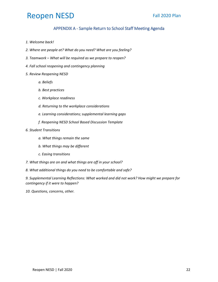### APPENDIX A - Sample Return to School Staff Meeting Agenda

- <span id="page-21-0"></span>*1. Welcome back!*
- *2. Where are people at? What do you need? What are you feeling?*
- *3. Teamwork – What will be required as we prepare to reopen?*
- *4. Fall school reopening and contingency planning*
- *5. Review Reopening NESD* 
	- *a. Beliefs*
	- *b. Best practices*
	- *c. Workplace readiness*
	- *d. Returning to the workplace considerations*
	- *e. Learning considerations; supplemental learning gaps*
	- *f. Reopening NESD School Based Discussion Template*
- *6. Student Transitions* 
	- *a. What things remain the same*
	- *b. What things may be different*
	- *c. Easing transitions*
- *7. What things are on and what things are off in your school?*
- *8. What additional things do you need to be comfortable and safe?*

*9. Supplemental Learning Reflections: What worked and did not work? How might we prepare for contingency if it were to happen?* 

*10. Questions, concerns, other.*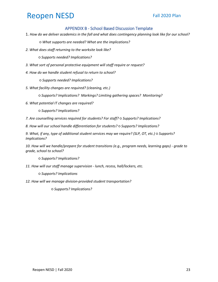#### APPENDIX B - School Based Discussion Template

<span id="page-22-0"></span>1. *How do we deliver academics in the fall and what does contingency planning look like for our school?*

*○ What supports are needed? What are the implications?* 

*2. What does staff returning to the worksite look like?* 

*○ Supports needed? Implications?* 

- *3. What sort of personal protective equipment will staff require or request?*
- *4. How do we handle student refusal to return to school?*

*○ Supports needed? Implications?* 

*5. What facility changes are required? (cleaning, etc.)* 

*○ Supports? Implications? Markings? Limiting gathering spaces? Monitoring?*

*6. What potential IT changes are required?* 

*○ Supports? Implications?* 

*7. Are counselling services required for students? For staff? ○ Supports? Implications?* 

*8. How will our school handle differentiation for students? ○ Supports? Implications?* 

*9. What, if any, type of additional student services may we require? (SLP, OT, etc.) ○ Supports? Implications?* 

*10. How will we handle/prepare for student transitions (e.g., program needs, learning gaps) - grade to grade, school to school?* 

*○ Supports? Implications?* 

*11. How will our staff manage supervision - lunch, recess, hall/lockers, etc.* 

*○ Supports? Implications*

*12. How will we manage division-provided student transportation?* 

*○ Supports? Implications?*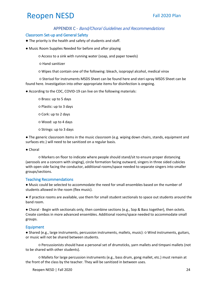### APPENDIX C - Band/Choral Guidelines and Recommendations

#### <span id="page-23-1"></span><span id="page-23-0"></span>Classroom Set-up and General Safety

- The priority is the health and safety of students and staff.
- Music Room Supplies Needed for before and after playing

○ Access to a sink with running water (soap, and paper towels)

○ Hand sanitizer

○ Wipes that contain one of the following: bleach, isopropyl alcohol, medical virox

○ Sterisol for instruments MSDS Sheet can be found here and steri-spray MSDS Sheet can be found here. Investigation into other appropriate items for disinfection is ongoing.

● According to the CDC, COVID-19 can live on the following materials:

○ Brass: up to 5 days

○ Plastic: up to 3 days

○ Cork: up to 2 days

- Wood: up to 4 days
- Strings: up to 3 days

● The generic classroom items in the music classroom (e.g. wiping down chairs, stands, equipment and surfaces etc.) will need to be sanitized on a regular basis.

● Choral

○ Markers on floor to indicate where people should stand/sit to ensure proper distancing (aerosols are a concern with singing), circle formation facing outward, singers in three sided cubicles with open side facing the conductor, additional rooms/space needed to separate singers into smaller groups/sections.

#### <span id="page-23-2"></span>Teaching Recommendations

● Music could be selected to accommodate the need for small ensembles based on the number of students allowed in the room (flex music).

● If practice rooms are available, use them for small student sectionals to space out students around the band room.

● Choral - Begin with sectionals only, then combine sections (e.g., Sop & Bass together), then octets. Create combos in more advanced ensembles. Additional rooms/space needed to accommodate small groups.

#### <span id="page-23-3"></span>Equipment

● Shared (e.g., large instruments, percussion instruments, mallets, music): ○ Wind instruments, guitars, or music will not be shared between students.

○ Percussionists should have a personal set of drumsticks, yarn mallets and timpani mallets (not to be shared with other students).

○ Mallets for large percussion instruments (e.g., bass drum, gong mallet, etc.) must remain at the front of the class by the teacher. They will be sanitized in between uses.

Reopen NESD | Fall 2020 24 | 2009 24 | 2009 24 | 2009 24 | 2009 24 | 2009 25 | 2010 25 | 2010 25 | 21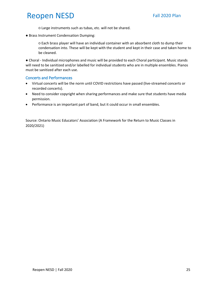○ Large instruments such as tubas, etc. will not be shared.

● Brass Instrument Condensation Dumping:

○ Each brass player will have an individual container with an absorbent cloth to dump their condensation into. These will be kept with the student and kept in their case and taken home to be cleaned.

● Choral - Individual microphones and music will be provided to each Choral participant. Music stands will need to be sanitized and/or labelled for individual students who are in multiple ensembles. Pianos must be sanitized after each use.

#### <span id="page-24-0"></span>Concerts and Performances

- Virtual concerts will be the norm until COVID restrictions have passed (live-streamed concerts or recorded concerts).
- Need to consider copyright when sharing performances and make sure that students have media permission.
- Performance is an important part of band, but it could occur in small ensembles.

Source: Ontario Music Educators' Association (A Framework for the Return to Music Classes in 2020/2021)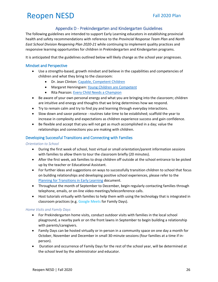### Appendix D - Prekindergarten and Kindergarten Guidelines

<span id="page-25-0"></span>The following guidelines are intended to support Early Learning educators in establishing provincial health and safety recommendations with reference to the *Provincial Response Team Plan* and *North East School Division Reopening Plan 2020-21* while continuing to implement quality practices and responsive learning opportunities for children in Prekindergarten and Kindergarten programs.

It is anticipated that the guidelines outlined below will likely change as the school year progresses.

#### <span id="page-25-1"></span>Mindset and Perspective

- Use a strengths-based, growth mindset and believe in the capabilities and competencies of children and what they bring to the classroom:
	- Dr. Jean Clinton: [Capable, Competent Children](https://www.youtube.com/watch?v=N6CnqNTPg-s&list=PLxmz9ERQlsZuYEh2gtLYHHlrk60NT_T-j&index=4&t=0s)
	- Margaret Henningsen: [Young Children are Competent](https://www.youtube.com/watch?v=CQnxfxvtALw)
	- Rita Pearson: [Every Child Needs a Champion](https://www.ted.com/talks/rita_pierson_every_kid_needs_a_champion?language=en)
- Be aware of your own personal energy and what you are bringing into the classroom; children are intuitive and energy and thoughts that we bring determines how we respond.
- Try to remain calm and try to find joy and learning through everyday interactions.
- Slow down and savor patience routines take time to be established; scaffold the year to increase in complexity and expectations as children experience success and gain confidence.
- Be flexible and accept that you will not get as much accomplished in a day; value the relationships and connections you are making with children.

#### <span id="page-25-2"></span>Developing Successful Transitions and Connecting with Families

*Orientation to School* 

- During the first week of school, host virtual or small orientation/parent information sessions with families to allow them to tour the classroom briefly (20 minutes).
- After the first week, ask families to drop children off outside at the school entrance to be picked up by the teacher or Educational Assistant.
- For further ideas and suggestions on ways to successfully transition children to school that focus on building relationships and developing positive school experiences, please refer to the [Planning for Transitions in Early Learning](https://www.edonline.sk.ca/bbcswebdav/pid-258796-dt-content-rid-6327237_1/orgs/Responsive_Teaching_organization_graymic/Responsive%20Teaching%20Practice%20Assessment.pdf) document.
- Throughout the month of September to December, begin regularly contacting families through telephone, emails, or on-line video meetings/teleconference calls.
- Host tutorials virtually with families to help them with using the technology that is integrated in classroom practices (e.g. Google Meets for Family Days).

#### *Home Visits and Family Days*

- For Prekindergarten home visits, conduct outdoor visits with families in the local school playground, a nearby park or on the front lawns in September to begin building a relationship with parents/caregivers.
- Family Days can be hosted virtually or in-person in a community space on one day a month for October, November and December in small 30-minute sessions (four families at a time if inperson).
- Duration and occurrence of Family Days for the rest of the school year, will be determined at the school level by the administrator and educator.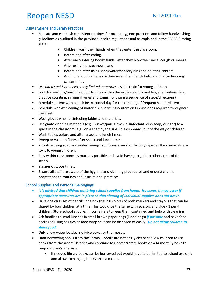### <span id="page-26-0"></span>Daily Hygiene and Safety Practices

- Educate and establish consistent routines for proper hygiene practices and follow handwashing guidelines as outlined in the provincial health regulations and as explained in the ECERS-3 rating scale:
	- Children wash their hands when they enter the classroom.
	- Before and after eating.
	- After encountering bodily fluids: after they blow their nose, cough or sneeze.
	- After using the washroom; and,
	- Before and after using sand/water/sensory bins and painting centers.
	- Additional option: have children wash their hands before and after learning center times
- *Use hand sanitizer in extremely limited quantities*, as it is toxic for young children.
- Look for learning/teaching opportunities within the extra cleaning and hygiene routines (e.g., practice counting, singing rhymes and songs, following a sequence of steps/directions)
- Schedule in time within each instructional day for the cleaning of frequently shared items
- Schedule weekly cleaning of materials in learning centers on Fridays or as required throughout the week
- Wear gloves when disinfecting tables and materials.
- Designate cleaning materials (e.g., bucket/pail, gloves, disinfectant, dish soap, vinegar) to a space in the classroom (e.g., on a shelf by the sink, in a cupboard) out of the way of children.
- Wash tables before and after snack and lunch times.
- Sweep or vacuum floors after snack and lunch times.
- Prioritize using soap and water, vinegar solutions, over disinfecting wipes as the chemicals are toxic to young children.
- Stay within classrooms as much as possible and avoid having to go into other areas of the school.
- Stagger outdoor times.
- Ensure all staff are aware of the hygiene and cleaning procedures and understand the adaptations to routines and instructional practices.

### <span id="page-26-1"></span>School Supplies and Personal Belongings

- *It is advised that children not bring school supplies from home. However, it may occur if appropriate measures are in place so that sharing of individual supplies does not occur.*
- Have one class set of pencils, one box (basic 8 colors) of both markers and crayons that can be shared by four children at a time. This would be the same with scissors and glue - 1 per 4 children. Store school supplies in containers to keep them contained and help with cleaning
- Ask families to send lunches in small brown paper bags (lunch bags) *if possible* and have food packaged using baggies or food wrap so it can be disposed of easily. *Do not allow children to share food.*
- Only allow water bottles, no juice boxes or thermoses.
- Limit borrowing books from the library books are not easily cleaned; allow children to use books from classroom libraries and continue to update/rotate books on a bi-monthly basis to keep children's interests
	- If needed library books can be borrowed but would have to be limited to school use only and allow exchanging books once a month.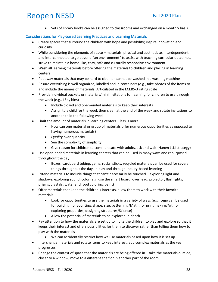• Sets of library books can be assigned to classrooms and exchanged on a monthly basis.

#### <span id="page-27-0"></span>Considerations for Play-based Learning Practices and Learning Materials

- Create spaces that surround the children with hope and possibility; inspire innovation and curiosity
- While considering the elements of space materials, physical and aesthetic as interdependent and interconnected to go beyond "an environment" to assist with teaching curricular outcomes, strive to maintain a home-like, cozy, safe and culturally responsive environment
- Wash all learning materials before offering the materials to children and placing in learning centers
- Put away materials that may be hard to clean or cannot be washed in a washing machine
- Ensure everything is well organized, labelled and in containers (e.g., take photos of the items to and include the names of materials) Articulated in the ECERS-3 rating scale
- Provide individual buckets or materials/mini invitations for learning for children to use through the week (e.g., I Spy bins)
	- Include closed and open-ended materials to keep their interests
	- Assign to a child for the week then clean at the end of the week and rotate invitations to another child the following week
- Limit the amount of materials in learning centers less is more
	- How can one material or group of materials offer numerous opportunities as opposed to having numerous materials?
	- *Quality* over quantity
	- See the complexity of simplicity
	- Give reason for children to communicate with adults, ask and wait (Hanen LLLI strategy)
- Use open-ended materials in learning centers that can be used in many ways and repurposed throughout the day
	- Boxes, cardboard tubing, gems, rocks, sticks, recycled materials can be used for several things throughout the day, in play and through inquiry-based learning
- Extend materials to include things that can't necessarily be touched exploring light and shadows, exploring sound, color (e.g. use the smart board, overhead, projector, flashlights, prisms, crystals, water and food coloring, paint)
- Offer materials that keep the children's interests, allow them to work with their favorite materials
	- Look for opportunities to use the materials in a variety of ways (e.g., Lego can be used for building, for counting, shape, size, patterning/Math, for print making/Art, for exploring properties, designing structures/Science)
	- Allow the potential of materials to be explored in-depth
- Pay attention to how the materials are set up to invite the children to play and explore so that it keeps their interest and offers possibilities for them to discover rather than telling them how to play with the materials
	- We can accidentally restrict how we use materials based upon how it is set up
- Interchange materials and rotate items to keep interest; add complex materials as the year progresses
- Change the context of space that the materials are being offered in take the materials outside, closer to a window, move to a different shelf or in another part of the room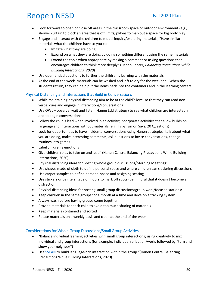- Look for ways to open or close off areas in the classroom space or outdoor environment (e.g., shower curtain to block an area that is off limits, pylons to map out a space for big body play)
- Engage and interact with the children to model inquiry/exploring materials; "Have similar materials what the children have so you can:
	- Imitate what they are doing
	- Expand on what they are doing by doing something different using the same materials
	- Extend the topic when appropriate by making a comment or asking questions that encourages children to think more deeply" (Hanen Center, *Balancing Precautions While Building Interactions, 2020*)
- Use open-ended questions to further the children's learning with the materials
- At the end of the week, materials can be washed and left to dry for the weekend. When the students return, they can help put the items back into the containers and in the learning centers

#### <span id="page-28-0"></span>Physical Distancing and Interactions that Build in Conversations

- While maintaining physical distancing aim to be at the child's level so that they can read nonverbal cues and engage in interactions/conversations
- Use OWL observe, wait and listen (Hanen LLLI strategy) to see what children are interested in and to begin conversations
- Follow the child's lead when involved in an activity; incorporate activities that allow builds on language and interactions without materials (e.g., I spy, Simon Says, 20 Questions)
- Look for opportunities to have incidental conversations using Hanen strategies: talk about what you are doing, make interesting comments, ask questions to invite conversations, change routines into games
- Label children's emotions
- Give children roles to take on and lead" (Hanen Centre, Balancing Precautions While Building Interactions, 2020)
- Physical distancing ideas for hosting whole group discussions/Morning Meetings:
- Use shapes made of cloth to define personal space and where children can sit during discussions
- Use carpet samples to define personal space and assigning seating
- Use stickers or painters' tape on floors to mark off spots (be mindful that it doesn't become a distraction)
- Physical distancing ideas for hosting small group discussions/group work/focused stations:
- Keep children in the same groups for a month at a time and develop a tracking system
- Always wash before having groups come together
- Provide materials for each child to avoid too much sharing of materials
- Keep materials contained and sorted
- Rotate materials on a weekly basis and clean at the end of the week

#### <span id="page-28-1"></span>Considerations for Whole Group Discussions/Small Group Activities

- "Balance individual learning activities with small group interactions; using creativity to mix individual and group interactions (for example, individual reflection/work, followed by "turn and show your neighbor")
- Use [SSCAN](http://www.hanen.org/Helpful-Info/Early-Literacy-Corner/Literacy-in-the-Classroom.aspx) to build language-rich interaction within the group "(Hanen Centre, Balancing Precautions While Building Interactions, 2020)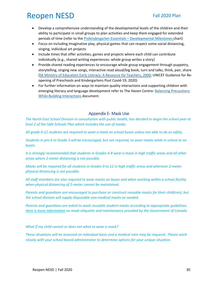- Develop a comprehensive understanding of the developmental levels of the children and their ability to participate in small groups to plan activities and keep them engaged for extended periods of time (refer to the [Prekindergarten Essentials –](https://www.edonline.sk.ca/webapps/blackboard/content/listContent.jsp?course_id=_3934_1&content_id=_274628_1) Developmental Milestones chart)
- Focus on including imaginative play, physical games that can respect some social distancing, singing, individual art projects
- Include times that offer activities, games and projects where each child can contribute individually (e.g., shared writing experiences: whole group writes a story)
- Provide shared reading experiences to encourage whole group engagement through puppetry, storytelling, singing new songs, interactive read aloud/big book, turn and talks, think, pair, share [\(SK Ministry of Education Early Literacy: A Resource for Teachers, 2000;](https://www.edonline.sk.ca/bbcswebdav/library/Curriculum%20Website/English%20Language%20Arts/Resources/Core/Early%20Literacy%20A%20Strategic%20Resource%20for%20Teachers%202002.pdf) UNICEF Guidance for Reopening of Preschools and Kindergartens Post Covid-19, 2020)
- For further information on ways to maintain quality interactions and supporting children with emerging literacy and language development refer to The Hanen Centre: [Balancing Precautions](http://www.hanen.org/Helpful-Info/Articles/COVID-19-Balance-Precautions-Build-Interactions.aspx)  [While Building Interactions](http://www.hanen.org/Helpful-Info/Articles/COVID-19-Balance-Precautions-Build-Interactions.aspx) document.

### Appendix E- Mask Use

<span id="page-29-0"></span>*The North East School Division in consultation with public health, has decided to begin the school year at level 2 of the Safe Schools Plan which includes the use of masks.*

*All grade 4-12 students are required to wear a mask on school buses unless not able to do so safely.*

*Students in pre-k to Grade 3 will be encouraged, but not required, to wear masks while in school or on buses.*

*It is strongly recommended that students in Grades 4-8 wear a mask in high traffic areas and all other areas where 2-meter distancing is not possible.* 

*Masks will be required for all students in Grades 9 to 12 in high traffic areas and wherever 2-meter physical distancing is not possible.*

*All staff members are also required to wear masks on buses and when working within a school facility when physical distancing of 2-meter cannot be maintained.*

*Parents and guardians are encouraged to purchase or construct reusable masks for their child(ren), but the school division will supply disposable non-medical masks as needed.* 

*Parents and guardians are asked to wash reusable student masks according to appropriate guidelines. [Here is more information](https://www.canada.ca/en/public-health/services/publications/diseases-conditions/covid-19-safely-use-non-medical-mask-face-covering.html) on mask etiquette and maintenance provided by the Government of Canada.* 

*What if my child cannot or does not what to wear a mask?*

*These situations will be assessed on individual basis and a medical note may be required. Please work closely with your school based administrator to determine options for your unique situation.*